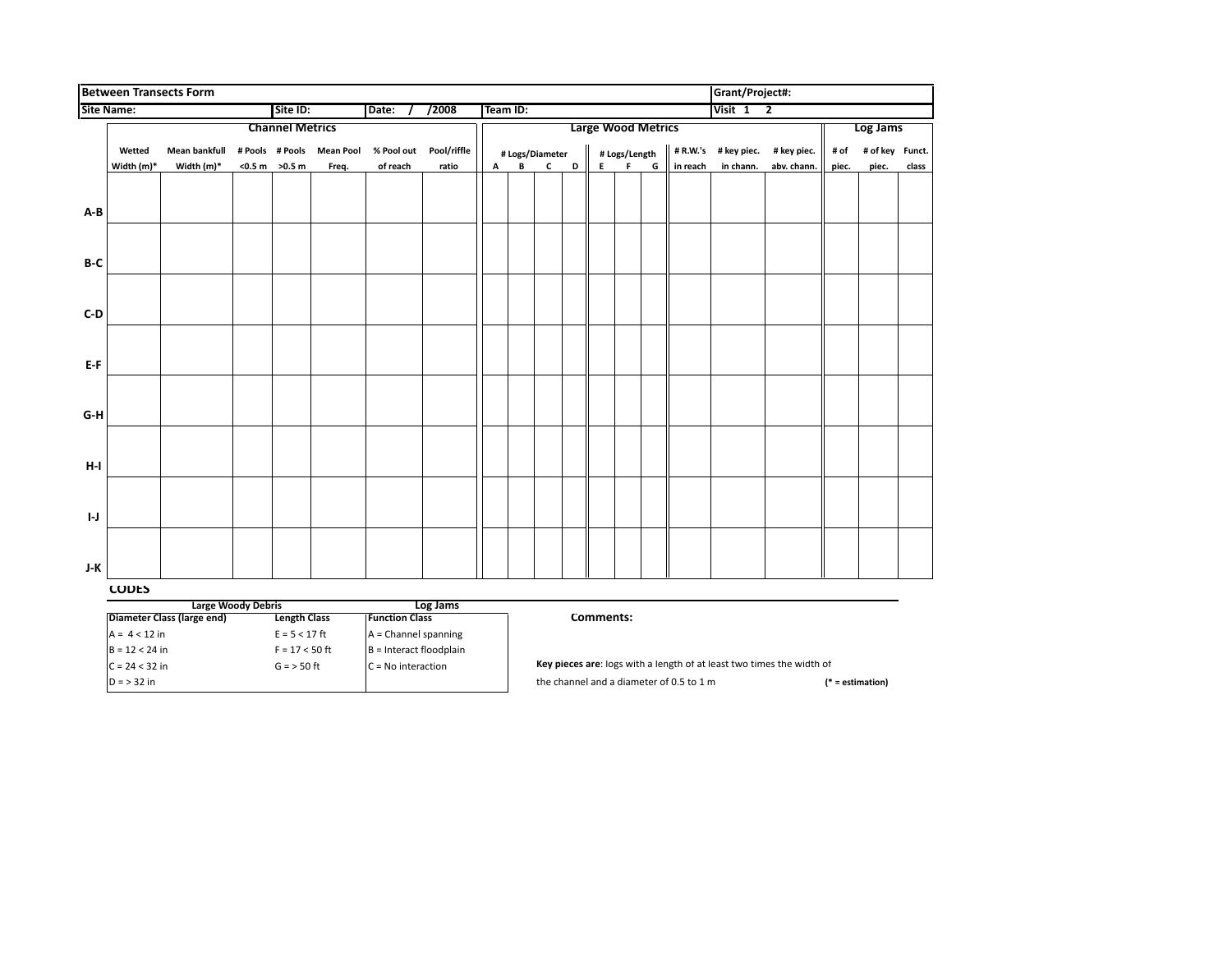|              |                                                                                         | <b>Between Transects Form</b> |          |                                               |                           |                         |                           |   |           |                 |   |                   |               |   |          | Grant/Project#: |             |       |                 |       |
|--------------|-----------------------------------------------------------------------------------------|-------------------------------|----------|-----------------------------------------------|---------------------------|-------------------------|---------------------------|---|-----------|-----------------|---|-------------------|---------------|---|----------|-----------------|-------------|-------|-----------------|-------|
|              | <b>Site Name:</b><br>Site ID:<br>/2008<br>Date:                                         |                               |          |                                               |                           | Team ID:                |                           |   |           |                 |   | Visit $1 \quad 2$ |               |   |          |                 |             |       |                 |       |
|              | <b>Channel Metrics</b>                                                                  |                               |          |                                               |                           |                         | <b>Large Wood Metrics</b> |   |           |                 |   |                   |               |   |          | Log Jams        |             |       |                 |       |
|              | Wetted                                                                                  | <b>Mean bankfull</b>          |          |                                               | # Pools # Pools Mean Pool |                         | % Pool out    Pool/riffle |   |           | # Logs/Diameter |   |                   | # Logs/Length |   | # R.W.'s | # key piec.     | # key piec. | # of  | # of key Funct. |       |
|              | Width (m)*                                                                              | Width (m)*                    |          | $<$ 0.5 m $>$ 0.5 m                           | Freq.                     | of reach                | ratio                     | А | В         | C               | D | E                 | F             | G | in reach | in chann.       | abv. chann. | piec. | piec.           | class |
|              |                                                                                         |                               |          |                                               |                           |                         |                           |   |           |                 |   |                   |               |   |          |                 |             |       |                 |       |
|              |                                                                                         |                               |          |                                               |                           |                         |                           |   |           |                 |   |                   |               |   |          |                 |             |       |                 |       |
| A-B          |                                                                                         |                               |          |                                               |                           |                         |                           |   |           |                 |   |                   |               |   |          |                 |             |       |                 |       |
|              |                                                                                         |                               |          |                                               |                           |                         |                           |   |           |                 |   |                   |               |   |          |                 |             |       |                 |       |
|              |                                                                                         |                               |          |                                               |                           |                         |                           |   |           |                 |   |                   |               |   |          |                 |             |       |                 |       |
| B-C          |                                                                                         |                               |          |                                               |                           |                         |                           |   |           |                 |   |                   |               |   |          |                 |             |       |                 |       |
|              |                                                                                         |                               |          |                                               |                           |                         |                           |   |           |                 |   |                   |               |   |          |                 |             |       |                 |       |
|              |                                                                                         |                               |          |                                               |                           |                         |                           |   |           |                 |   |                   |               |   |          |                 |             |       |                 |       |
| $C-D$        |                                                                                         |                               |          |                                               |                           |                         |                           |   |           |                 |   |                   |               |   |          |                 |             |       |                 |       |
|              |                                                                                         |                               |          |                                               |                           |                         |                           |   |           |                 |   |                   |               |   |          |                 |             |       |                 |       |
|              |                                                                                         |                               |          |                                               |                           |                         |                           |   |           |                 |   |                   |               |   |          |                 |             |       |                 |       |
| E-F          |                                                                                         |                               |          |                                               |                           |                         |                           |   |           |                 |   |                   |               |   |          |                 |             |       |                 |       |
|              |                                                                                         |                               |          |                                               |                           |                         |                           |   |           |                 |   |                   |               |   |          |                 |             |       |                 |       |
|              |                                                                                         |                               |          |                                               |                           |                         |                           |   |           |                 |   |                   |               |   |          |                 |             |       |                 |       |
| $G-H$        |                                                                                         |                               |          |                                               |                           |                         |                           |   |           |                 |   |                   |               |   |          |                 |             |       |                 |       |
|              |                                                                                         |                               |          |                                               |                           |                         |                           |   |           |                 |   |                   |               |   |          |                 |             |       |                 |       |
|              |                                                                                         |                               |          |                                               |                           |                         |                           |   |           |                 |   |                   |               |   |          |                 |             |       |                 |       |
| $H-I$        |                                                                                         |                               |          |                                               |                           |                         |                           |   |           |                 |   |                   |               |   |          |                 |             |       |                 |       |
|              |                                                                                         |                               |          |                                               |                           |                         |                           |   |           |                 |   |                   |               |   |          |                 |             |       |                 |       |
|              |                                                                                         |                               |          |                                               |                           |                         |                           |   |           |                 |   |                   |               |   |          |                 |             |       |                 |       |
| $\mathsf{L}$ |                                                                                         |                               |          |                                               |                           |                         |                           |   |           |                 |   |                   |               |   |          |                 |             |       |                 |       |
|              |                                                                                         |                               |          |                                               |                           |                         |                           |   |           |                 |   |                   |               |   |          |                 |             |       |                 |       |
|              |                                                                                         |                               |          |                                               |                           |                         |                           |   |           |                 |   |                   |               |   |          |                 |             |       |                 |       |
| J-K          |                                                                                         |                               |          |                                               |                           |                         |                           |   |           |                 |   |                   |               |   |          |                 |             |       |                 |       |
|              | <b>CODES</b>                                                                            |                               |          |                                               |                           |                         |                           |   |           |                 |   |                   |               |   |          |                 |             |       |                 |       |
|              | <b>Large Woody Debris</b>                                                               |                               | Log Jams |                                               |                           |                         |                           |   | Comments: |                 |   |                   |               |   |          |                 |             |       |                 |       |
|              | Diameter Class (large end)<br><b>Length Class</b><br>$A = 4 < 12$ in<br>$E = 5 < 17$ ft |                               |          | <b>Function Class</b><br>A = Channel spanning |                           |                         |                           |   |           |                 |   |                   |               |   |          |                 |             |       |                 |       |
|              | $B = 12 < 24$ in                                                                        |                               |          | $F = 17 < 50$ ft                              |                           | B = Interact floodplain |                           |   |           |                 |   |                   |               |   |          |                 |             |       |                 |       |
|              |                                                                                         |                               |          |                                               |                           |                         |                           |   |           |                 |   |                   |               |   |          |                 |             |       |                 |       |

D = > 32 in the channel and a diameter of 0.5 to 1 m the channel and a diameter of 0.5 to 1 m the stimation)